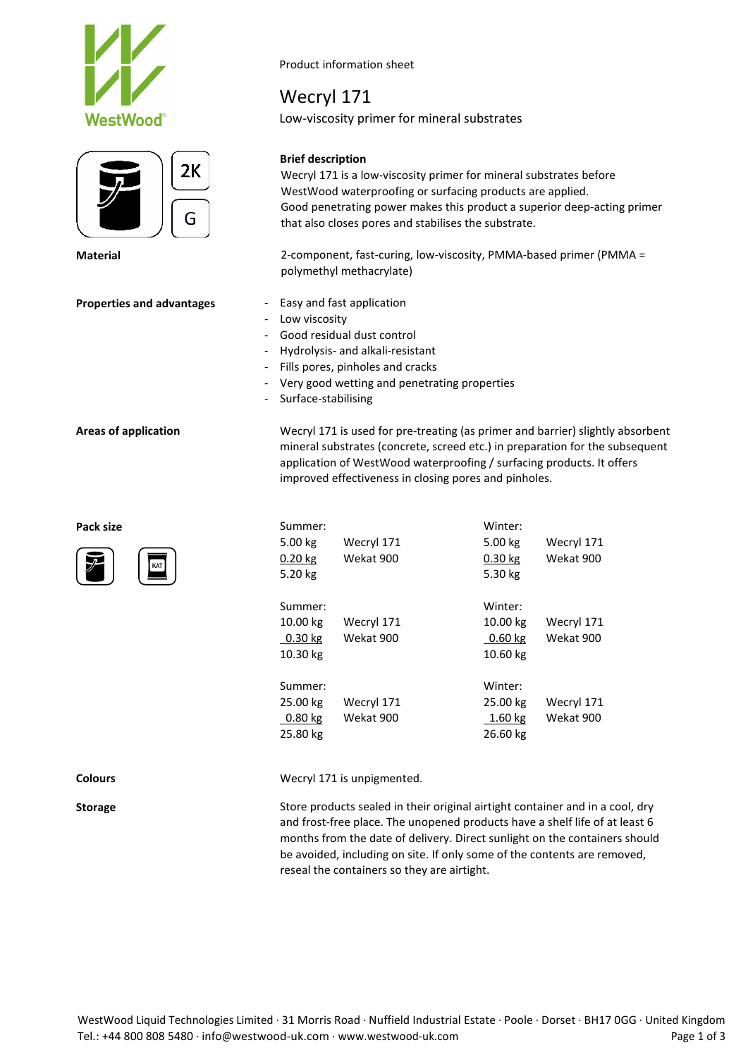





Product information sheet

# Wecryl 171

Low-viscosity primer for mineral substrates

### **Brief description**

Wecryl 171 is a low-viscosity primer for mineral substrates before WestWood waterproofing or surfacing products are applied. Good penetrating power makes this product a superior deep-acting primer that also closes pores and stabilises the substrate.

**Material** 2-component, fast-curing, low-viscosity, PMMA-based primer (PMMA = polymethyl methacrylate)

- **Properties and advantages** Easy and fast application
	- Low viscosity
	- Good residual dust control
	- Hydrolysis- and alkali-resistant
	- Fills pores, pinholes and cracks
	- Very good wetting and penetrating properties
	- Surface-stabilising

**Areas of application** Wecryl 171 is used for pre-treating (as primer and barrier) slightly absorbent mineral substrates (concrete, screed etc.) in preparation for the subsequent application of WestWood waterproofing / surfacing products. It offers improved effectiveness in closing pores and pinholes.

| Pack size<br>$\overline{\mathscr{J}}$<br>KAT | Summer:<br>5.00 kg<br>$0.20$ kg<br>5.20 kg   | Wecryl 171<br>Wekat 900 | Winter:<br>5.00 kg<br>$0.30$ kg<br>5.30 kg   | Wecryl 171<br>Wekat 900 |  |
|----------------------------------------------|----------------------------------------------|-------------------------|----------------------------------------------|-------------------------|--|
|                                              | Summer:<br>10.00 kg<br>$0.30$ kg<br>10.30 kg | Wecryl 171<br>Wekat 900 | Winter:<br>10.00 kg<br>$0.60$ kg<br>10.60 kg | Wecryl 171<br>Wekat 900 |  |
|                                              | Summer:<br>25.00 kg<br>$0.80$ kg<br>25.80 kg | Wecryl 171<br>Wekat 900 | Winter:<br>25.00 kg<br>1.60 kg<br>26.60 kg   | Wecryl 171<br>Wekat 900 |  |

**Colours** Wecryl 171 is unpigmented.

**Storage** Store products sealed in their original airtight container and in a cool, dry and frost-free place. The unopened products have a shelf life of at least 6 months from the date of delivery. Direct sunlight on the containers should be avoided, including on site. If only some of the contents are removed, reseal the containers so they are airtight.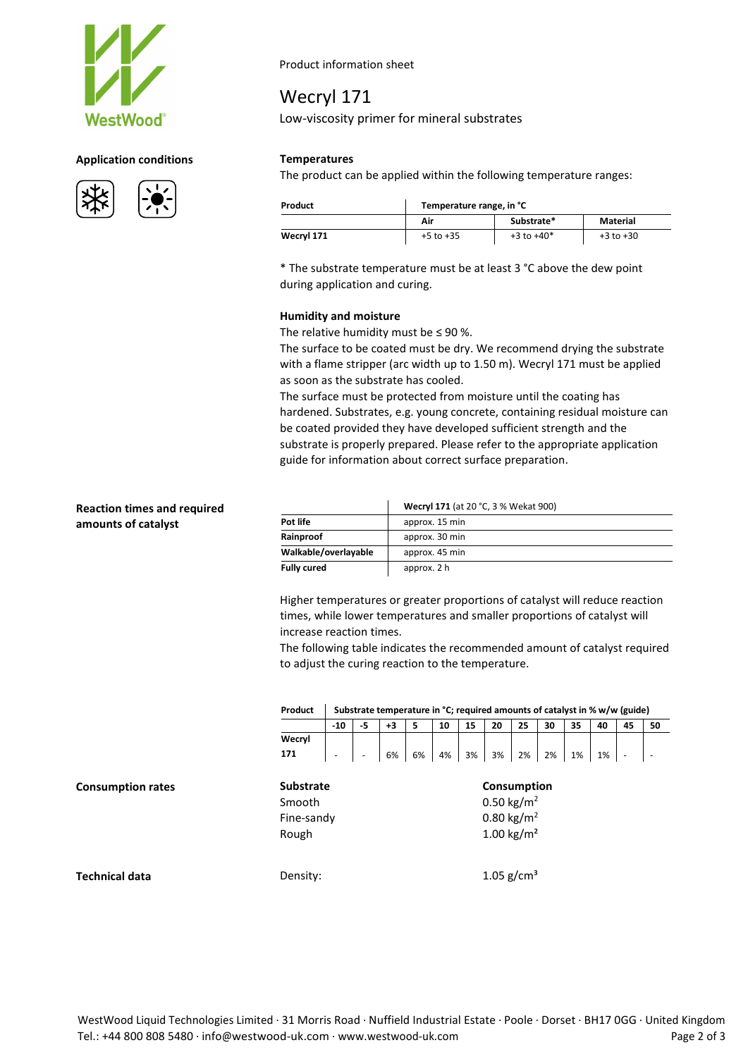

#### **Application conditions Temperatures**



Product information sheet

# Wecryl 171

Low-viscosity primer for mineral substrates

The product can be applied within the following temperature ranges:

| Product    | Temperature range, in °C |                |               |  |  |  |  |  |
|------------|--------------------------|----------------|---------------|--|--|--|--|--|
|            | Air                      | Substrate*     | Material      |  |  |  |  |  |
| Wecryl 171 | $+5$ to $+35$            | $+3$ to $+40*$ | $+3$ to $+30$ |  |  |  |  |  |

\* The substrate temperature must be at least 3 °C above the dew point during application and curing.

#### **Humidity and moisture**

The relative humidity must be  $\leq$  90 %.

The surface to be coated must be dry. We recommend drying the substrate with a flame stripper (arc width up to 1.50 m). Wecryl 171 must be applied as soon as the substrate has cooled.

The surface must be protected from moisture until the coating has hardened. Substrates, e.g. young concrete, containing residual moisture can be coated provided they have developed sufficient strength and the substrate is properly prepared. Please refer to the appropriate application guide for information about correct surface preparation.

### **Reaction times and required amounts of catalyst**

**Consumption** rates

**Technical data** 

|                      | Wecryl 171 (at 20 °C, 3 % Wekat 900) |  |  |  |  |  |  |
|----------------------|--------------------------------------|--|--|--|--|--|--|
| Pot life             | approx. 15 min                       |  |  |  |  |  |  |
| Rainproof            | approx. 30 min                       |  |  |  |  |  |  |
| Walkable/overlayable | approx. 45 min                       |  |  |  |  |  |  |
| <b>Fully cured</b>   | approx. 2 h                          |  |  |  |  |  |  |

Higher temperatures or greater proportions of catalyst will reduce reaction times, while lower temperatures and smaller proportions of catalyst will increase reaction times.

The following table indicates the recommended amount of catalyst required to adjust the curing reaction to the temperature.

| Product                                           | Substrate temperature in °C; required amounts of catalyst in % w/w (guide) |    |    |   |    |    |                                                                                           |                 |    |    |    |    |    |  |
|---------------------------------------------------|----------------------------------------------------------------------------|----|----|---|----|----|-------------------------------------------------------------------------------------------|-----------------|----|----|----|----|----|--|
|                                                   | $-10$                                                                      | -5 | +3 | 5 | 10 | 15 | 20                                                                                        | 25              | 30 | 35 | 40 | 45 | 50 |  |
| Wecryl                                            |                                                                            |    |    |   |    |    |                                                                                           |                 |    |    |    |    |    |  |
| 171                                               |                                                                            |    |    |   |    |    |                                                                                           |                 |    |    |    |    |    |  |
| <b>Substrate</b><br>Smooth<br>Fine-sandy<br>Rough |                                                                            |    |    |   |    |    | Consumption<br>0.50 kg/m <sup>2</sup><br>0.80 kg/m <sup>2</sup><br>1.00 kg/m <sup>2</sup> |                 |    |    |    |    |    |  |
| Density:                                          |                                                                            |    |    |   |    |    |                                                                                           | 1.05 $g/cm^{3}$ |    |    |    |    |    |  |